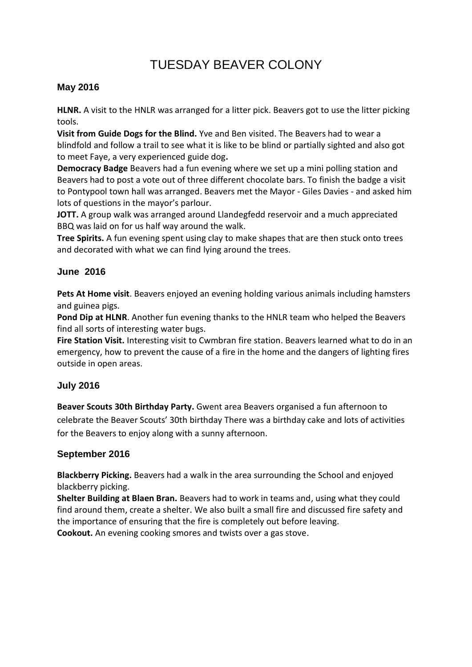# TUESDAY BEAVER COLONY

# **May 2016**

**HLNR.** A visit to the HNLR was arranged for a litter pick. Beavers got to use the litter picking tools.

**Visit from Guide Dogs for the Blind.** Yve and Ben visited. The Beavers had to wear a blindfold and follow a trail to see what it is like to be blind or partially sighted and also got to meet Faye, a very experienced guide dog**.** 

**Democracy Badge** Beavers had a fun evening where we set up a mini polling station and Beavers had to post a vote out of three different chocolate bars. To finish the badge a visit to Pontypool town hall was arranged. Beavers met the Mayor - Giles Davies - and asked him lots of questions in the mayor's parlour.

**JOTT.** A group walk was arranged around Llandegfedd reservoir and a much appreciated BBQ was laid on for us half way around the walk.

**Tree Spirits.** A fun evening spent using clay to make shapes that are then stuck onto trees and decorated with what we can find lying around the trees.

# **June 2016**

**Pets At Home visit**. Beavers enjoyed an evening holding various animals including hamsters and guinea pigs.

**Pond Dip at HLNR**. Another fun evening thanks to the HNLR team who helped the Beavers find all sorts of interesting water bugs.

**Fire Station Visit.** Interesting visit to Cwmbran fire station. Beavers learned what to do in an emergency, how to prevent the cause of a fire in the home and the dangers of lighting fires outside in open areas.

# **July 2016**

**Beaver Scouts 30th Birthday Party.** Gwent area Beavers organised a fun afternoon to celebrate the Beaver Scouts' 30th birthday There was a birthday cake and lots of activities for the Beavers to enjoy along with a sunny afternoon.

# **September 2016**

**Blackberry Picking.** Beavers had a walk in the area surrounding the School and enjoyed blackberry picking.

**Shelter Building at Blaen Bran.** Beavers had to work in teams and, using what they could find around them, create a shelter. We also built a small fire and discussed fire safety and the importance of ensuring that the fire is completely out before leaving. **Cookout.** An evening cooking smores and twists over a gas stove.